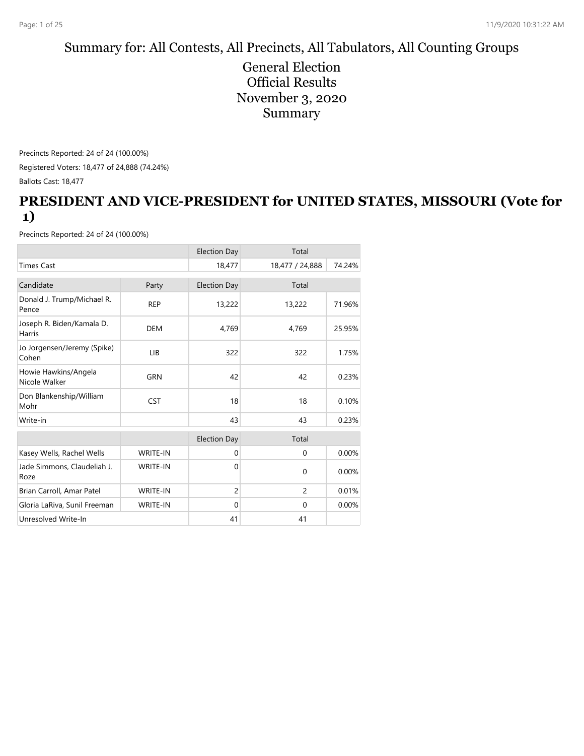#### Summary for: All Contests, All Precincts, All Tabulators, All Counting Groups

General Election Official Results November 3, 2020 Summary

Precincts Reported: 24 of 24 (100.00%) Registered Voters: 18,477 of 24,888 (74.24%) Ballots Cast: 18,477

#### **PRESIDENT AND VICE-PRESIDENT for UNITED STATES, MISSOURI (Vote for 1)**

|                                       |                 | <b>Election Day</b> | Total           |        |
|---------------------------------------|-----------------|---------------------|-----------------|--------|
| <b>Times Cast</b>                     |                 | 18,477              | 18,477 / 24,888 | 74.24% |
| Candidate                             | Party           | <b>Election Day</b> | Total           |        |
| Donald J. Trump/Michael R.<br>Pence   | <b>REP</b>      | 13,222              | 13,222          | 71.96% |
| Joseph R. Biden/Kamala D.<br>Harris   | <b>DEM</b>      | 4,769               | 4,769           | 25.95% |
| Jo Jorgensen/Jeremy (Spike)<br>Cohen  | LIB             | 322                 | 322             | 1.75%  |
| Howie Hawkins/Angela<br>Nicole Walker | <b>GRN</b>      | 42                  | 42              | 0.23%  |
| Don Blankenship/William<br>Mohr       | <b>CST</b>      | 18                  | 18              | 0.10%  |
| Write-in                              |                 | 43                  | 43              | 0.23%  |
|                                       |                 | <b>Election Day</b> | Total           |        |
| Kasey Wells, Rachel Wells             | <b>WRITE-IN</b> | $\mathbf{0}$        | $\mathbf{0}$    | 0.00%  |
| Jade Simmons, Claudeliah J.<br>Roze   | <b>WRITE-IN</b> | $\Omega$            | $\mathbf 0$     | 0.00%  |
| Brian Carroll, Amar Patel             | <b>WRITE-IN</b> | $\overline{c}$      | 2               | 0.01%  |
| Gloria LaRiva, Sunil Freeman          | <b>WRITE-IN</b> | $\mathbf 0$         | $\mathbf{0}$    | 0.00%  |
| Unresolved Write-In                   |                 | 41                  | 41              |        |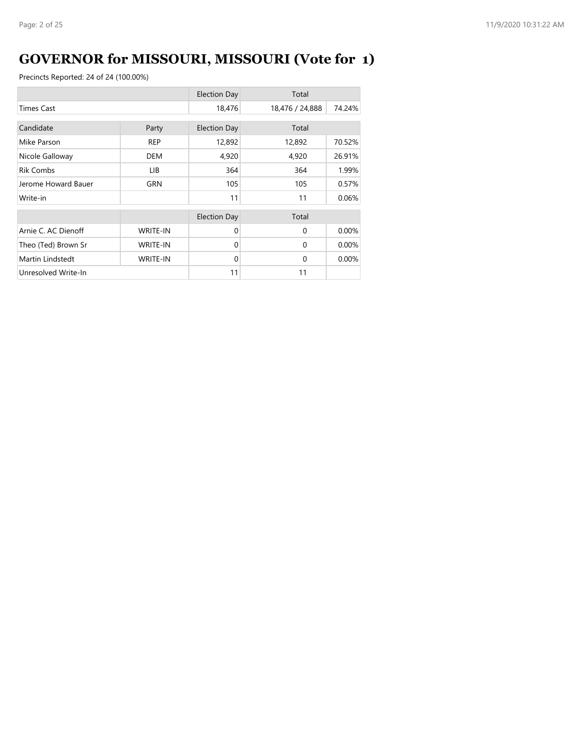# **GOVERNOR for MISSOURI, MISSOURI (Vote for 1)**

|                     |                 | <b>Election Day</b> | Total           |        |
|---------------------|-----------------|---------------------|-----------------|--------|
| <b>Times Cast</b>   |                 | 18,476              | 18,476 / 24,888 | 74.24% |
| Candidate           | Party           | <b>Election Day</b> | Total           |        |
| Mike Parson         | <b>REP</b>      | 12,892              | 12,892          | 70.52% |
| Nicole Galloway     | <b>DEM</b>      | 4,920               | 4,920           | 26.91% |
| <b>Rik Combs</b>    | LIB             | 364                 | 364             | 1.99%  |
| Jerome Howard Bauer | GRN             | 105                 | 105             | 0.57%  |
| Write-in            |                 | 11                  | 11              | 0.06%  |
|                     |                 | <b>Election Day</b> | Total           |        |
| Arnie C. AC Dienoff | <b>WRITE-IN</b> | $\Omega$            | $\Omega$        | 0.00%  |
| Theo (Ted) Brown Sr | <b>WRITE-IN</b> | $\Omega$            | $\Omega$        | 0.00%  |
| Martin Lindstedt    | <b>WRITE-IN</b> | $\Omega$            | $\Omega$        | 0.00%  |
| Unresolved Write-In |                 | 11                  | 11              |        |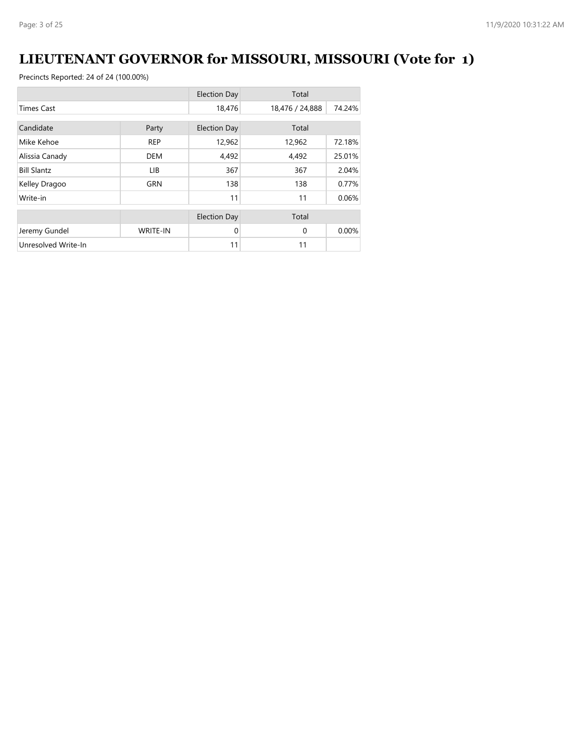# **LIEUTENANT GOVERNOR for MISSOURI, MISSOURI (Vote for 1)**

|                     |                 | <b>Election Day</b> | Total           |        |
|---------------------|-----------------|---------------------|-----------------|--------|
| <b>Times Cast</b>   |                 | 18,476              | 18,476 / 24,888 | 74.24% |
| Candidate           |                 |                     | Total           |        |
|                     | Party           | <b>Election Day</b> |                 |        |
| Mike Kehoe          | <b>REP</b>      | 12,962              | 12,962          | 72.18% |
| Alissia Canady      | <b>DEM</b>      | 4,492               | 4,492           | 25.01% |
| <b>Bill Slantz</b>  | LIB             | 367                 | 367             | 2.04%  |
| Kelley Dragoo       | <b>GRN</b>      | 138                 | 138             | 0.77%  |
| Write-in            |                 | 11                  | 11              | 0.06%  |
|                     |                 | <b>Election Day</b> | Total           |        |
| Jeremy Gundel       | <b>WRITE-IN</b> | $\Omega$            | $\Omega$        | 0.00%  |
| Unresolved Write-In |                 | 11                  | 11              |        |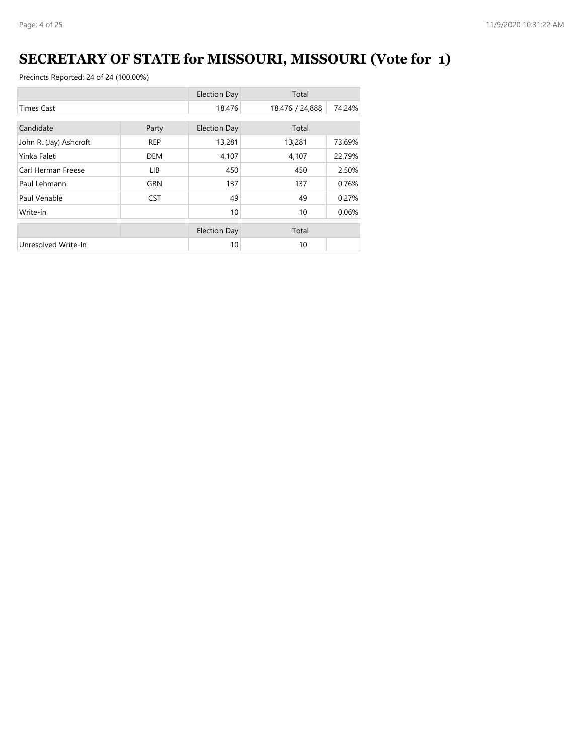## **SECRETARY OF STATE for MISSOURI, MISSOURI (Vote for 1)**

|                        |            | <b>Election Day</b> | Total           |        |
|------------------------|------------|---------------------|-----------------|--------|
| <b>Times Cast</b>      |            | 18,476              | 18,476 / 24,888 | 74.24% |
| Candidate              | Party      | <b>Election Day</b> | Total           |        |
| John R. (Jay) Ashcroft | <b>REP</b> | 13,281              | 13,281          | 73.69% |
| Yinka Faleti           | <b>DEM</b> | 4,107               | 4,107           | 22.79% |
| Carl Herman Freese     | LIB.       | 450                 | 450             | 2.50%  |
| Paul Lehmann           | <b>GRN</b> | 137                 | 137             | 0.76%  |
| Paul Venable           | <b>CST</b> | 49                  | 49              | 0.27%  |
| Write-in               |            | 10                  | 10              | 0.06%  |
|                        |            |                     |                 |        |
|                        |            | <b>Election Day</b> | Total           |        |
| Unresolved Write-In    |            | 10                  | 10              |        |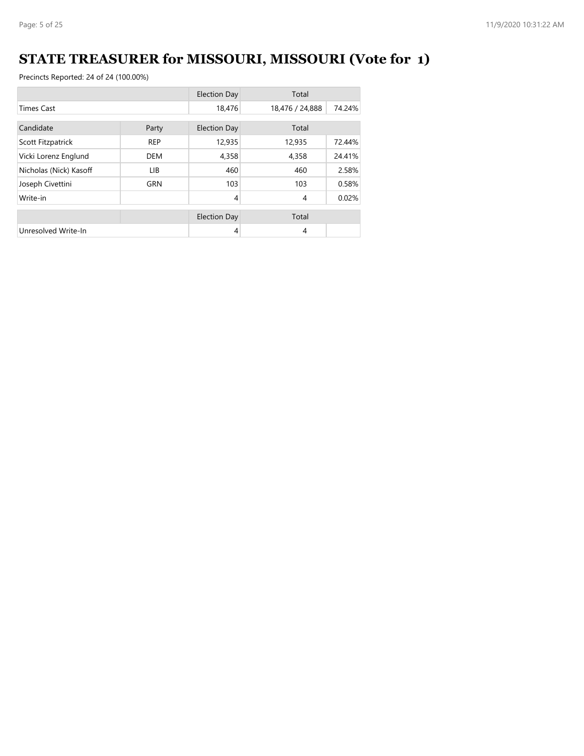# **STATE TREASURER for MISSOURI, MISSOURI (Vote for 1)**

|                        |            | <b>Election Day</b> | Total           |        |
|------------------------|------------|---------------------|-----------------|--------|
| <b>Times Cast</b>      |            | 18,476              | 18,476 / 24,888 | 74.24% |
| Candidate<br>Party     |            | <b>Election Day</b> | Total           |        |
| Scott Fitzpatrick      | <b>REP</b> | 12,935              | 12,935          | 72.44% |
| Vicki Lorenz Englund   | DEM        | 4,358               | 4,358           | 24.41% |
| Nicholas (Nick) Kasoff | LIB.       | 460                 | 460             | 2.58%  |
| Joseph Civettini       | <b>GRN</b> | 103                 | 103             | 0.58%  |
| Write-in               |            | $\overline{4}$      | $\overline{4}$  | 0.02%  |
|                        |            | <b>Election Day</b> | Total           |        |
| Unresolved Write-In    |            | 4                   | $\overline{4}$  |        |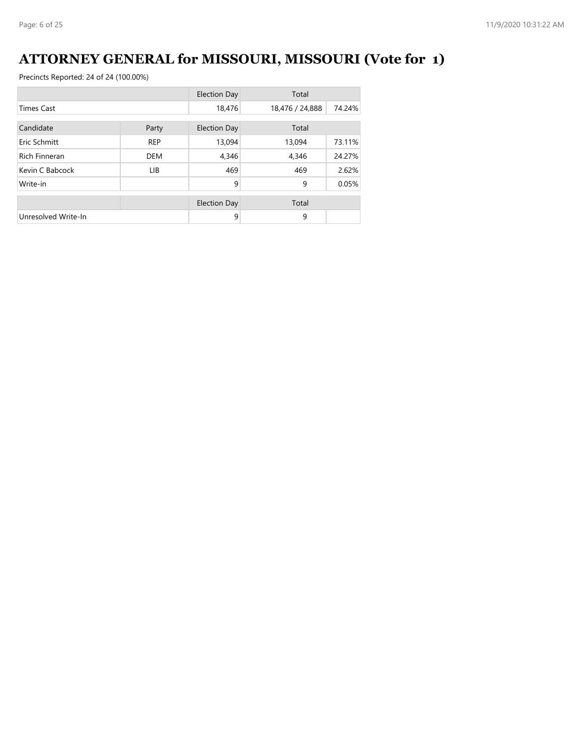## **ATTORNEY GENERAL for MISSOURI, MISSOURI (Vote for 1)**

|                      |            | <b>Election Day</b> | Total           |        |
|----------------------|------------|---------------------|-----------------|--------|
| <b>Times Cast</b>    |            | 18,476              | 18,476 / 24,888 | 74.24% |
| Candidate<br>Party   |            | <b>Election Day</b> | Total           |        |
| Eric Schmitt         | <b>REP</b> | 13,094              | 13,094          | 73.11% |
| <b>Rich Finneran</b> | <b>DEM</b> | 4,346               | 4,346           | 24.27% |
| Kevin C Babcock      | <b>LIB</b> | 469                 | 469             | 2.62%  |
| Write-in             |            | 9                   | 9               | 0.05%  |
|                      |            | <b>Election Day</b> | Total           |        |
| Unresolved Write-In  |            | 9                   | 9               |        |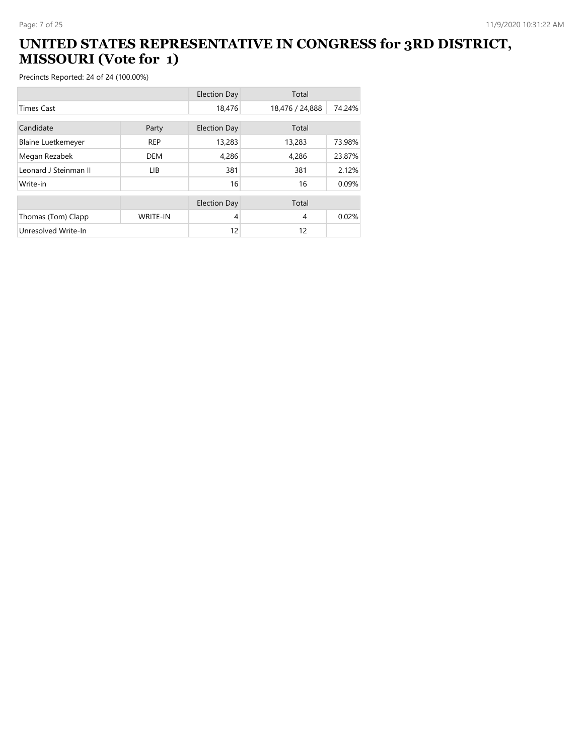### **UNITED STATES REPRESENTATIVE IN CONGRESS for 3RD DISTRICT, MISSOURI (Vote for 1)**

|                           |                 | <b>Election Day</b> | Total           |        |
|---------------------------|-----------------|---------------------|-----------------|--------|
| <b>Times Cast</b>         |                 | 18,476              | 18,476 / 24,888 | 74.24% |
| Candidate                 |                 |                     | Total           |        |
|                           | Party           | <b>Election Day</b> |                 |        |
| <b>Blaine Luetkemeyer</b> | <b>REP</b>      | 13,283              | 13,283          | 73.98% |
| Megan Rezabek             | <b>DEM</b>      | 4,286               | 4,286           | 23.87% |
| Leonard J Steinman II     | LIB.            | 381                 | 381             | 2.12%  |
| Write-in                  |                 | 16                  | 16              | 0.09%  |
|                           |                 |                     |                 |        |
|                           |                 | <b>Election Day</b> | Total           |        |
| Thomas (Tom) Clapp        | <b>WRITE-IN</b> | 4                   | 4               | 0.02%  |
| Unresolved Write-In       |                 | 12                  | 12              |        |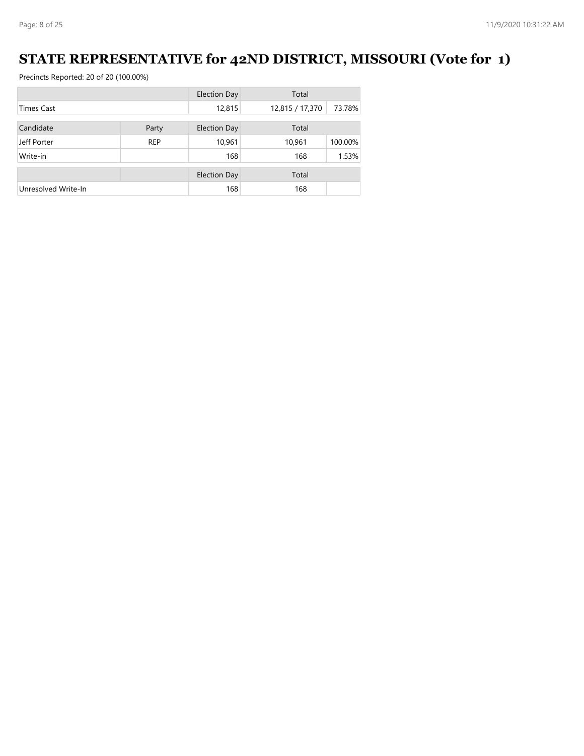## **STATE REPRESENTATIVE for 42ND DISTRICT, MISSOURI (Vote for 1)**

|                     |            | <b>Election Day</b> | Total           |         |
|---------------------|------------|---------------------|-----------------|---------|
| <b>Times Cast</b>   |            | 12,815              | 12,815 / 17,370 | 73.78%  |
| Candidate           | Party      | <b>Election Day</b> | Total           |         |
|                     |            |                     |                 |         |
| Jeff Porter         | <b>REP</b> | 10,961              | 10,961          | 100.00% |
| Write-in            |            | 168                 | 168             | 1.53%   |
|                     |            |                     |                 |         |
|                     |            | <b>Election Day</b> | Total           |         |
| Unresolved Write-In |            | 168                 | 168             |         |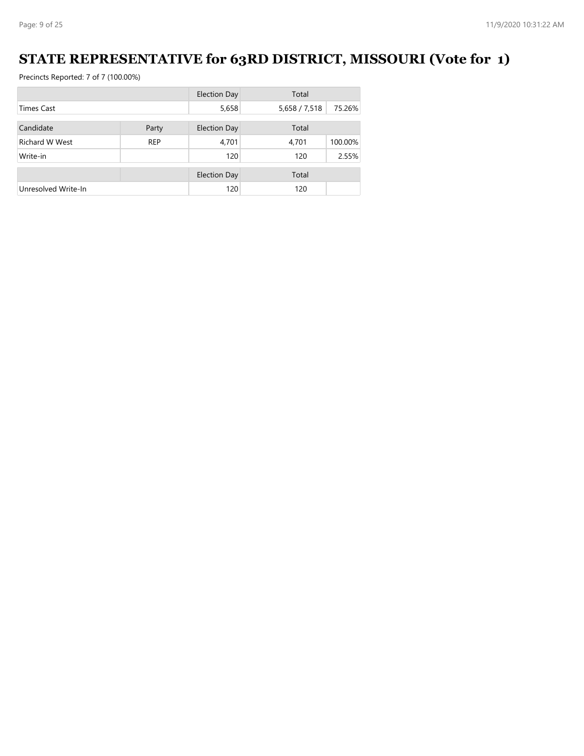## **STATE REPRESENTATIVE for 63RD DISTRICT, MISSOURI (Vote for 1)**

|                       |            | <b>Election Day</b> | Total         |         |
|-----------------------|------------|---------------------|---------------|---------|
| <b>Times Cast</b>     |            | 5,658               | 5,658 / 7,518 | 75.26%  |
| Candidate             | Party      | <b>Election Day</b> | Total         |         |
|                       |            |                     |               |         |
| <b>Richard W West</b> | <b>REP</b> | 4,701               | 4,701         | 100.00% |
| Write-in              |            | 120                 | 120           | 2.55%   |
|                       |            |                     |               |         |
|                       |            | <b>Election Day</b> | Total         |         |
| Unresolved Write-In   |            | 120                 | 120           |         |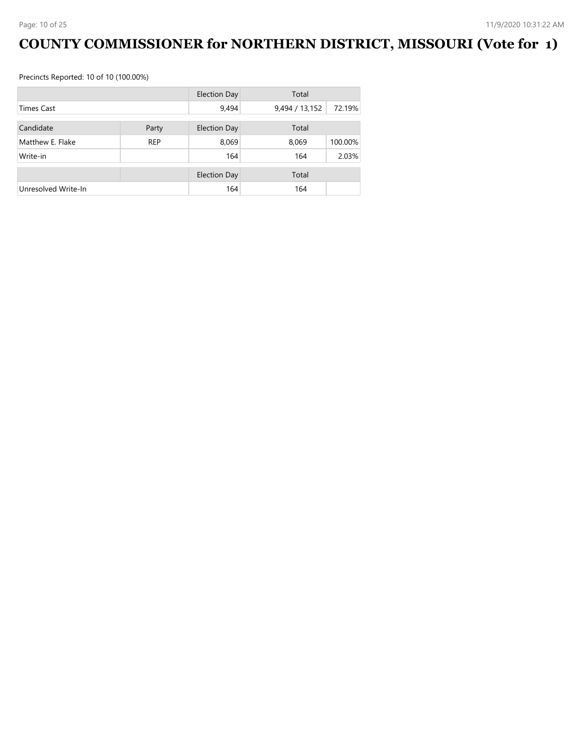# **COUNTY COMMISSIONER for NORTHERN DISTRICT, MISSOURI (Vote for 1)**

Precincts Reported: 10 of 10 (100.00%)

|                     |            | <b>Election Day</b> | Total          |         |
|---------------------|------------|---------------------|----------------|---------|
| <b>Times Cast</b>   |            | 9,494               | 9,494 / 13,152 | 72.19%  |
| Candidate           |            |                     | Total          |         |
|                     | Party      | <b>Election Day</b> |                |         |
| Matthew E. Flake    | <b>REP</b> | 8,069               | 8,069          | 100.00% |
| Write-in            |            | 164                 | 164            | 2.03%   |
|                     |            | <b>Election Day</b> | Total          |         |
|                     |            |                     |                |         |
| Unresolved Write-In |            | 164                 | 164            |         |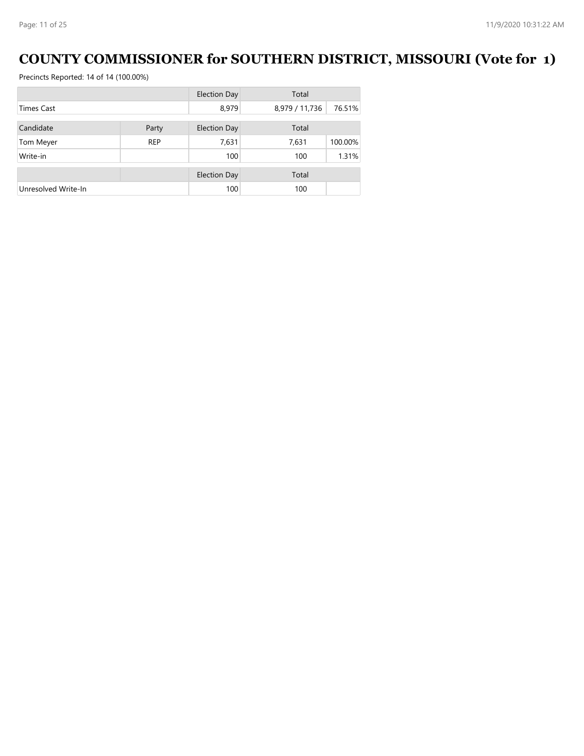## **COUNTY COMMISSIONER for SOUTHERN DISTRICT, MISSOURI (Vote for 1)**

|                     |            | <b>Election Day</b> | Total          |         |
|---------------------|------------|---------------------|----------------|---------|
| <b>Times Cast</b>   |            | 8,979               | 8,979 / 11,736 | 76.51%  |
| Candidate           |            | <b>Election Day</b> | Total          |         |
|                     | Party      |                     |                |         |
| Tom Meyer           | <b>REP</b> | 7,631               | 7,631          | 100.00% |
| Write-in            |            | 100                 | 100            | 1.31%   |
|                     |            |                     |                |         |
|                     |            | <b>Election Day</b> | Total          |         |
| Unresolved Write-In |            | 100                 | 100            |         |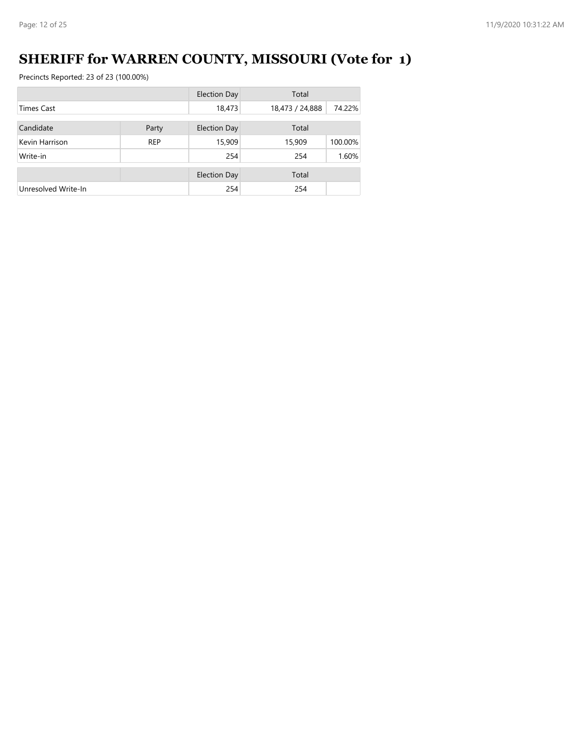# **SHERIFF for WARREN COUNTY, MISSOURI (Vote for 1)**

|                     |            | <b>Election Day</b> | Total           |         |
|---------------------|------------|---------------------|-----------------|---------|
| <b>Times Cast</b>   |            | 18,473              | 18,473 / 24,888 | 74.22%  |
| Candidate           | Party      | <b>Election Day</b> | Total           |         |
| Kevin Harrison      | <b>REP</b> | 15,909              | 15,909          | 100.00% |
| Write-in            |            | 254                 | 254             | 1.60%   |
|                     |            | <b>Election Day</b> | Total           |         |
| Unresolved Write-In |            | 254                 | 254             |         |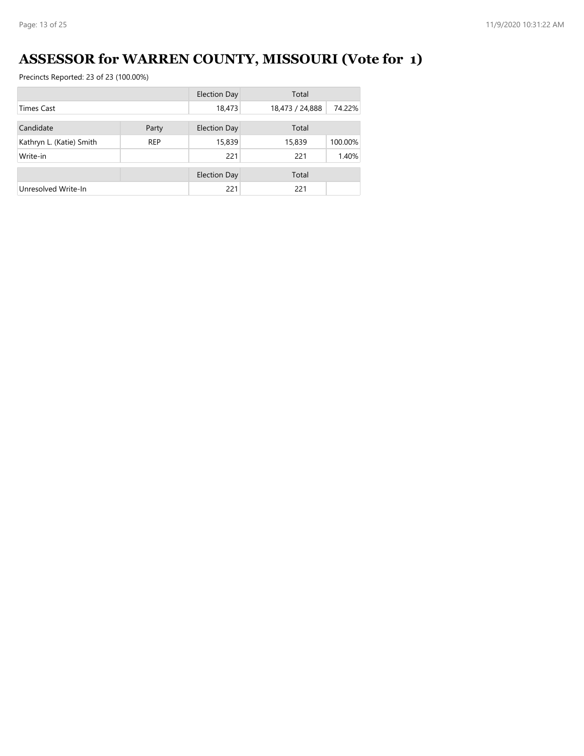# **ASSESSOR for WARREN COUNTY, MISSOURI (Vote for 1)**

|                          |            | Election Day | Total           |         |
|--------------------------|------------|--------------|-----------------|---------|
| Times Cast               |            | 18,473       | 18,473 / 24,888 | 74.22%  |
| Candidate                | Party      | Election Day | Total           |         |
| Kathryn L. (Katie) Smith | <b>REP</b> | 15,839       | 15,839          | 100.00% |
| Write-in                 |            | 221          | 221             | 1.40%   |
|                          |            |              |                 |         |
|                          |            | Election Day | Total           |         |
| Unresolved Write-In      |            | 221          | 221             |         |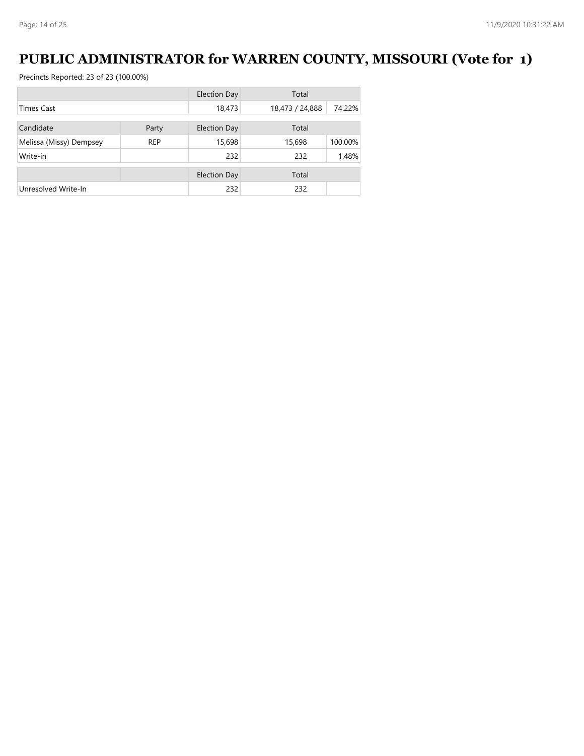## **PUBLIC ADMINISTRATOR for WARREN COUNTY, MISSOURI (Vote for 1)**

|                         |            | Election Day        | Total           |         |
|-------------------------|------------|---------------------|-----------------|---------|
| Times Cast              |            | 18,473              | 18,473 / 24,888 | 74.22%  |
| Candidate               | Party      | Election Day        | Total           |         |
|                         |            |                     |                 |         |
| Melissa (Missy) Dempsey | <b>REP</b> | 15,698              | 15,698          | 100.00% |
| Write-in                |            | 232                 | 232             | 1.48%   |
|                         |            | <b>Election Day</b> | Total           |         |
|                         |            |                     |                 |         |
| Unresolved Write-In     |            | 232                 | 232             |         |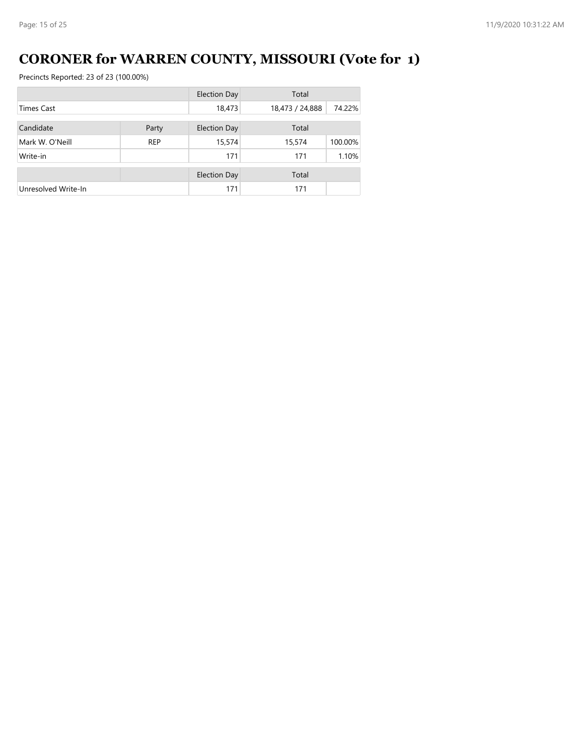# **CORONER for WARREN COUNTY, MISSOURI (Vote for 1)**

|                     |            | <b>Election Day</b> | Total           |         |
|---------------------|------------|---------------------|-----------------|---------|
| Times Cast          |            | 18,473              | 18,473 / 24,888 | 74.22%  |
| Candidate           | Party      | <b>Election Day</b> | Total           |         |
| Mark W. O'Neill     | <b>REP</b> | 15,574              | 15,574          | 100.00% |
| Write-in            |            | 171                 | 171             | 1.10%   |
|                     |            | <b>Election Day</b> | Total           |         |
| Unresolved Write-In |            | 171                 | 171             |         |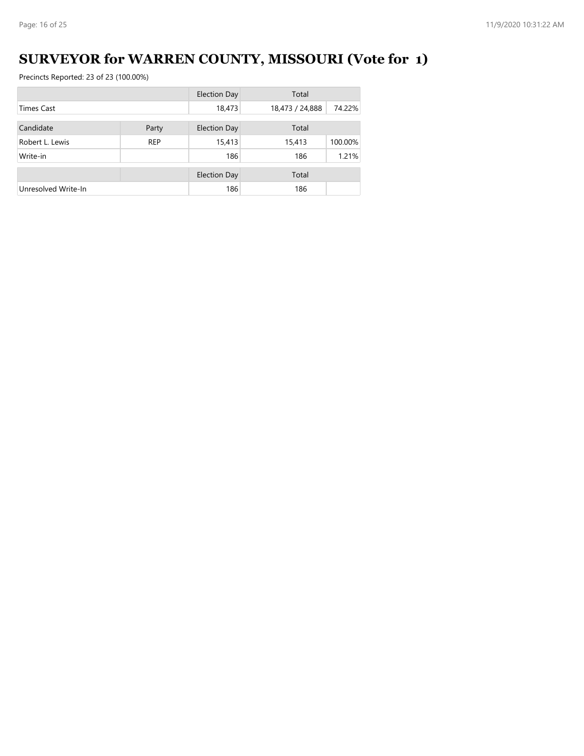# **SURVEYOR for WARREN COUNTY, MISSOURI (Vote for 1)**

|                     |            | <b>Election Day</b> | Total           |         |
|---------------------|------------|---------------------|-----------------|---------|
| <b>Times Cast</b>   |            | 18,473              | 18,473 / 24,888 | 74.22%  |
| Candidate           | Party      | <b>Election Day</b> | Total           |         |
| Robert L. Lewis     | <b>REP</b> | 15,413              | 15,413          | 100.00% |
| Write-in            |            | 186                 | 186             | 1.21%   |
|                     |            | <b>Election Day</b> | Total           |         |
| Unresolved Write-In |            | 186                 | 186             |         |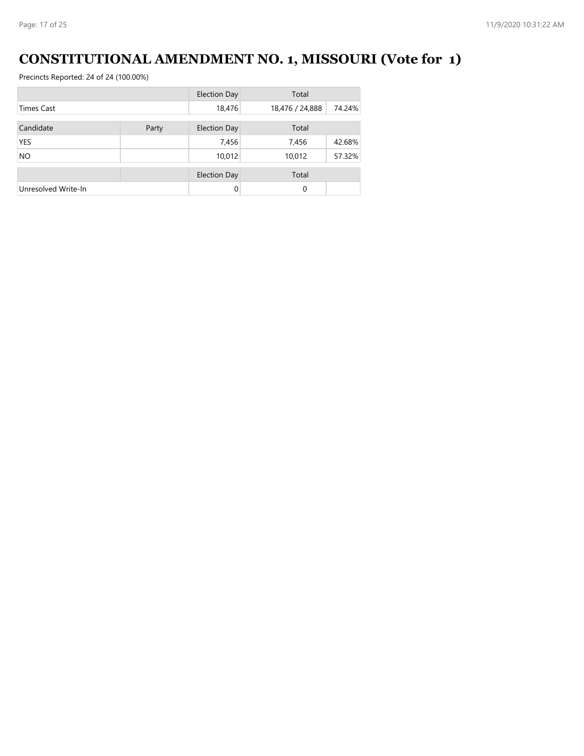# **CONSTITUTIONAL AMENDMENT NO. 1, MISSOURI (Vote for 1)**

|                     |       | <b>Election Day</b> | Total           |        |
|---------------------|-------|---------------------|-----------------|--------|
| <b>Times Cast</b>   |       | 18,476              | 18,476 / 24,888 | 74.24% |
| Candidate           | Party | <b>Election Day</b> | Total           |        |
| <b>YES</b>          |       | 7,456               | 7,456           | 42.68% |
| <b>NO</b>           |       | 10,012              | 10,012          | 57.32% |
|                     |       | <b>Election Day</b> | Total           |        |
| Unresolved Write-In |       | $\Omega$            | $\Omega$        |        |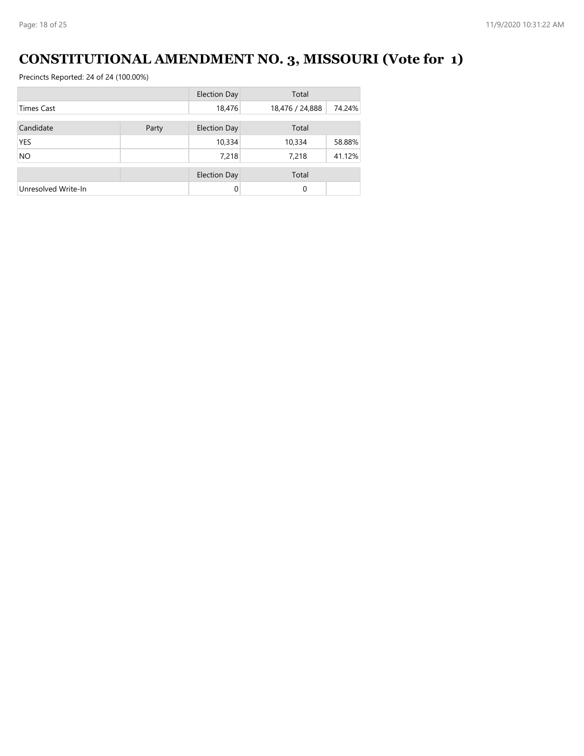# **CONSTITUTIONAL AMENDMENT NO. 3, MISSOURI (Vote for 1)**

|                     |       | <b>Election Day</b> | Total           |        |
|---------------------|-------|---------------------|-----------------|--------|
| <b>Times Cast</b>   |       | 18,476              | 18,476 / 24,888 | 74.24% |
| Candidate           | Party | <b>Election Day</b> | Total           |        |
|                     |       |                     |                 |        |
| <b>YES</b>          |       | 10,334              | 10,334          | 58.88% |
| <b>NO</b>           |       | 7,218               | 7,218           | 41.12% |
|                     |       | <b>Election Day</b> | Total           |        |
| Unresolved Write-In |       | $\Omega$            | $\Omega$        |        |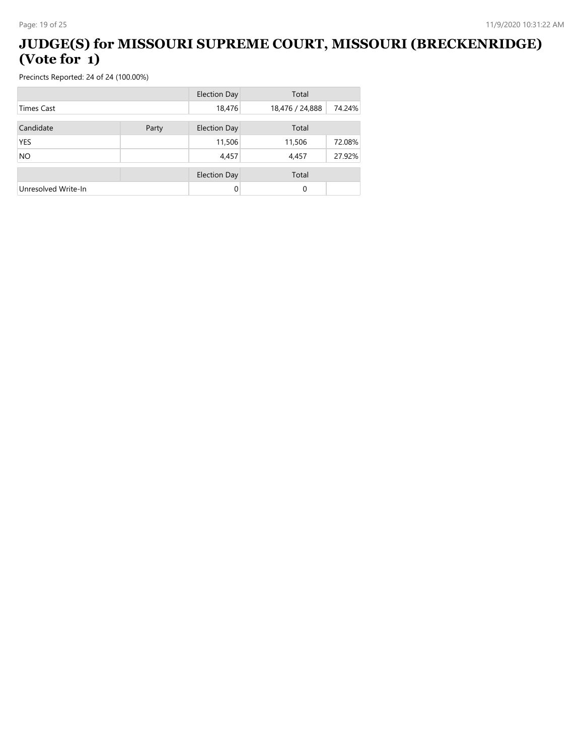#### **JUDGE(S) for MISSOURI SUPREME COURT, MISSOURI (BRECKENRIDGE) (Vote for 1)**

|                     |       | <b>Election Day</b> | Total           |        |
|---------------------|-------|---------------------|-----------------|--------|
| <b>Times Cast</b>   |       | 18,476              | 18,476 / 24,888 | 74.24% |
| Candidate           | Party | <b>Election Day</b> | Total           |        |
| <b>YES</b>          |       | 11,506              | 11,506          | 72.08% |
| <b>NO</b>           |       | 4,457               | 4,457           | 27.92% |
|                     |       | <b>Election Day</b> | Total           |        |
| Unresolved Write-In |       | $\Omega$            | $\Omega$        |        |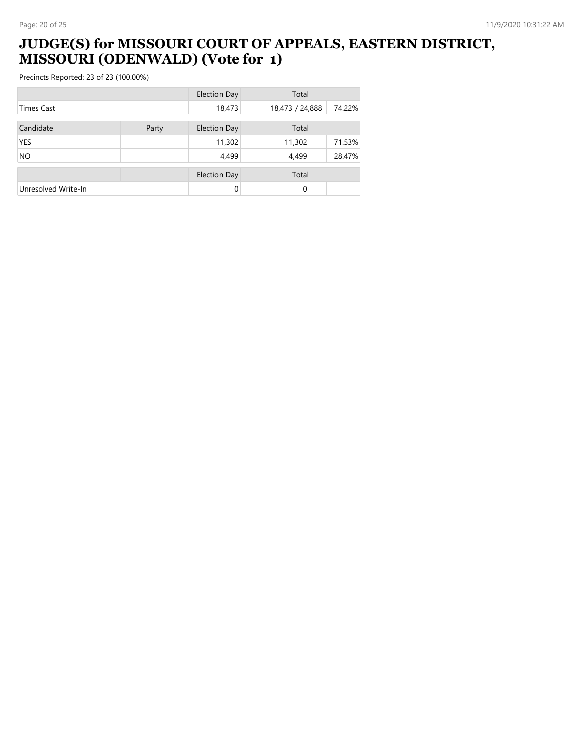### **JUDGE(S) for MISSOURI COURT OF APPEALS, EASTERN DISTRICT, MISSOURI (ODENWALD) (Vote for 1)**

|                     |       | <b>Election Day</b> | Total           |        |
|---------------------|-------|---------------------|-----------------|--------|
| <b>Times Cast</b>   |       | 18,473              | 18,473 / 24,888 | 74.22% |
| Candidate           | Party | <b>Election Day</b> | Total           |        |
| <b>YES</b>          |       | 11,302              | 11,302          | 71.53% |
| <b>NO</b>           |       | 4,499               | 4,499           | 28.47% |
|                     |       | <b>Election Day</b> | Total           |        |
| Unresolved Write-In |       | $\Omega$            | 0               |        |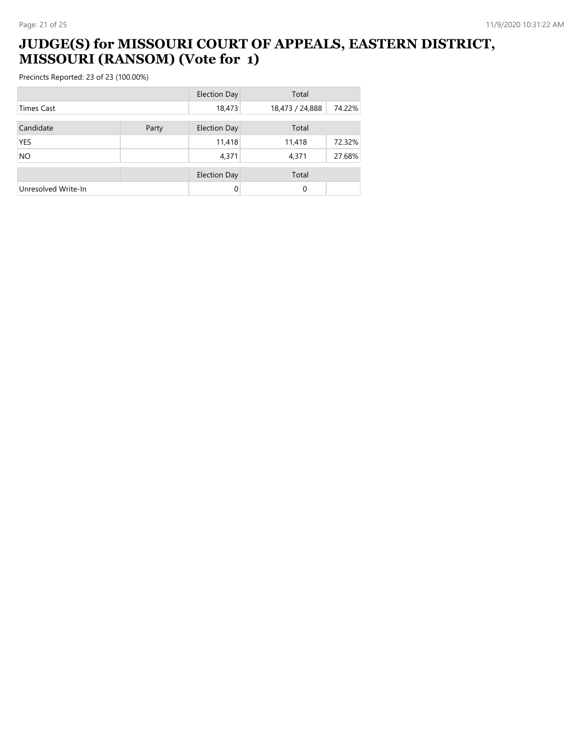### **JUDGE(S) for MISSOURI COURT OF APPEALS, EASTERN DISTRICT, MISSOURI (RANSOM) (Vote for 1)**

|                     |       | <b>Election Day</b> | Total           |        |
|---------------------|-------|---------------------|-----------------|--------|
| <b>Times Cast</b>   |       | 18,473              | 18,473 / 24,888 | 74.22% |
| Candidate           | Party | <b>Election Day</b> | Total           |        |
| <b>YES</b>          |       | 11,418              | 11,418          | 72.32% |
| <b>NO</b>           |       | 4,371               | 4,371           | 27.68% |
|                     |       | <b>Election Day</b> | Total           |        |
| Unresolved Write-In |       | $\Omega$            | 0               |        |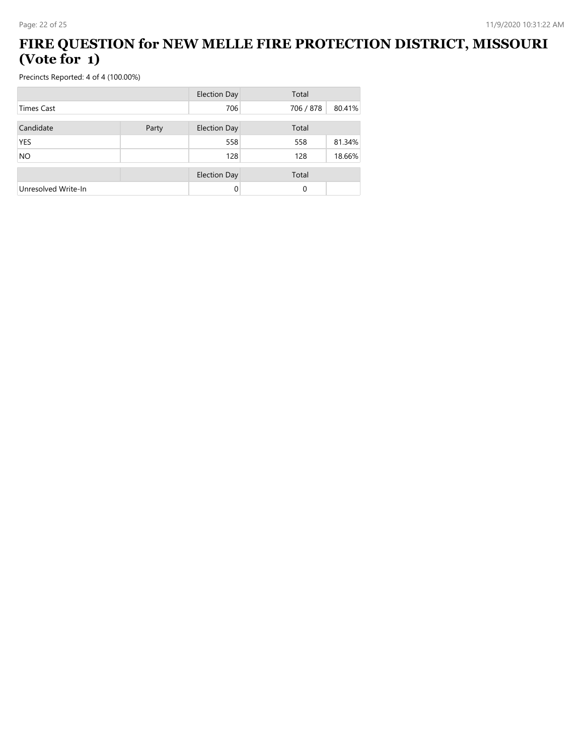#### **FIRE QUESTION for NEW MELLE FIRE PROTECTION DISTRICT, MISSOURI (Vote for 1)**

|                     |       | <b>Election Day</b> | Total     |        |
|---------------------|-------|---------------------|-----------|--------|
| <b>Times Cast</b>   |       | 706                 | 706 / 878 | 80.41% |
| Candidate           | Party | <b>Election Day</b> | Total     |        |
| <b>YES</b>          |       | 558                 | 558       | 81.34% |
| <b>NO</b>           |       | 128                 | 128       | 18.66% |
|                     |       | <b>Election Day</b> | Total     |        |
| Unresolved Write-In |       | $\Omega$            | 0         |        |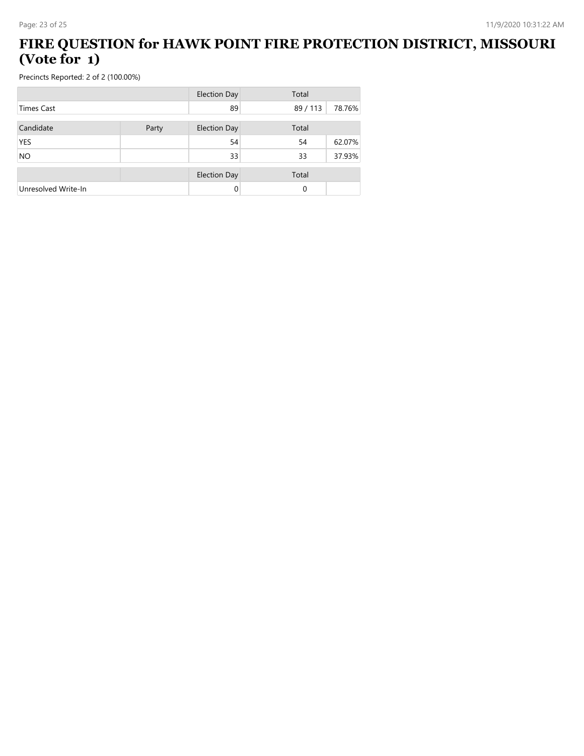#### **FIRE QUESTION for HAWK POINT FIRE PROTECTION DISTRICT, MISSOURI (Vote for 1)**

|                     |       | <b>Election Day</b> | Total  |        |
|---------------------|-------|---------------------|--------|--------|
| <b>Times Cast</b>   |       | 89                  | 89/113 | 78.76% |
| Candidate           | Party | <b>Election Day</b> | Total  |        |
| YES                 |       | 54                  | 54     | 62.07% |
| <b>NO</b>           |       | 33                  | 33     | 37.93% |
|                     |       | <b>Election Day</b> | Total  |        |
| Unresolved Write-In |       | 0                   | 0      |        |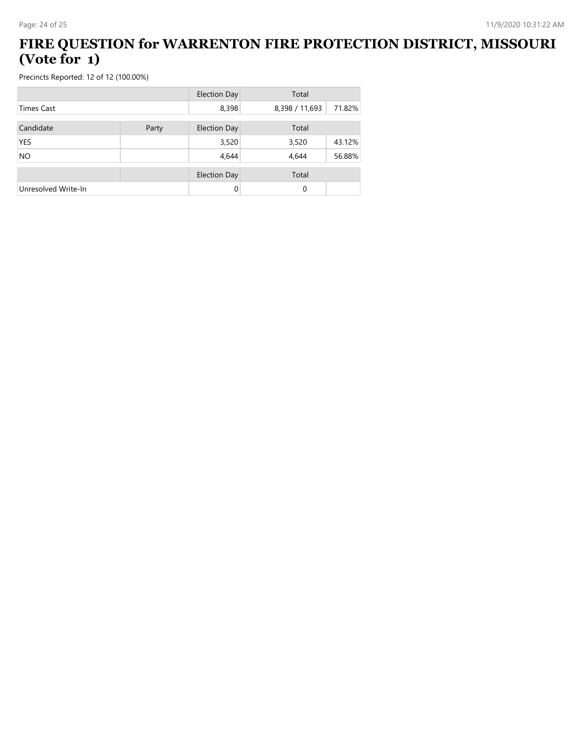#### **FIRE QUESTION for WARRENTON FIRE PROTECTION DISTRICT, MISSOURI (Vote for 1)**

|                     |       | <b>Election Day</b> | Total          |        |
|---------------------|-------|---------------------|----------------|--------|
| <b>Times Cast</b>   |       | 8,398               | 8,398 / 11,693 | 71.82% |
| Candidate           | Party | <b>Election Day</b> | Total          |        |
| <b>YES</b>          |       | 3,520               | 3,520          | 43.12% |
| <b>NO</b>           |       | 4,644               | 4,644          | 56.88% |
|                     |       | <b>Election Day</b> | Total          |        |
| Unresolved Write-In |       | $\Omega$            | 0              |        |